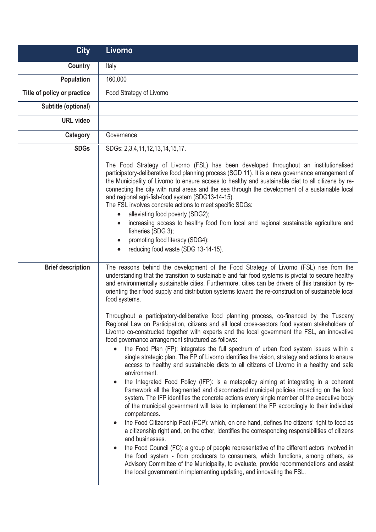| <b>City</b>                 | Livorno                                                                                                                                                                                                                                                                                                                                                                                                                                                                                                                                                                                                                                                                                                                                                                                                                                                                                                                                                                                                                                                                                                                                                                                                                                                                                                                                                                                                                                                                                                                                                                                                                                                                                                                                                                                                                                                                                                                                                                                                                                                                                                                    |
|-----------------------------|----------------------------------------------------------------------------------------------------------------------------------------------------------------------------------------------------------------------------------------------------------------------------------------------------------------------------------------------------------------------------------------------------------------------------------------------------------------------------------------------------------------------------------------------------------------------------------------------------------------------------------------------------------------------------------------------------------------------------------------------------------------------------------------------------------------------------------------------------------------------------------------------------------------------------------------------------------------------------------------------------------------------------------------------------------------------------------------------------------------------------------------------------------------------------------------------------------------------------------------------------------------------------------------------------------------------------------------------------------------------------------------------------------------------------------------------------------------------------------------------------------------------------------------------------------------------------------------------------------------------------------------------------------------------------------------------------------------------------------------------------------------------------------------------------------------------------------------------------------------------------------------------------------------------------------------------------------------------------------------------------------------------------------------------------------------------------------------------------------------------------|
| <b>Country</b>              | Italy                                                                                                                                                                                                                                                                                                                                                                                                                                                                                                                                                                                                                                                                                                                                                                                                                                                                                                                                                                                                                                                                                                                                                                                                                                                                                                                                                                                                                                                                                                                                                                                                                                                                                                                                                                                                                                                                                                                                                                                                                                                                                                                      |
| <b>Population</b>           | 160,000                                                                                                                                                                                                                                                                                                                                                                                                                                                                                                                                                                                                                                                                                                                                                                                                                                                                                                                                                                                                                                                                                                                                                                                                                                                                                                                                                                                                                                                                                                                                                                                                                                                                                                                                                                                                                                                                                                                                                                                                                                                                                                                    |
| Title of policy or practice | Food Strategy of Livorno                                                                                                                                                                                                                                                                                                                                                                                                                                                                                                                                                                                                                                                                                                                                                                                                                                                                                                                                                                                                                                                                                                                                                                                                                                                                                                                                                                                                                                                                                                                                                                                                                                                                                                                                                                                                                                                                                                                                                                                                                                                                                                   |
| Subtitle (optional)         |                                                                                                                                                                                                                                                                                                                                                                                                                                                                                                                                                                                                                                                                                                                                                                                                                                                                                                                                                                                                                                                                                                                                                                                                                                                                                                                                                                                                                                                                                                                                                                                                                                                                                                                                                                                                                                                                                                                                                                                                                                                                                                                            |
| <b>URL</b> video            |                                                                                                                                                                                                                                                                                                                                                                                                                                                                                                                                                                                                                                                                                                                                                                                                                                                                                                                                                                                                                                                                                                                                                                                                                                                                                                                                                                                                                                                                                                                                                                                                                                                                                                                                                                                                                                                                                                                                                                                                                                                                                                                            |
| <b>Category</b>             | Governance                                                                                                                                                                                                                                                                                                                                                                                                                                                                                                                                                                                                                                                                                                                                                                                                                                                                                                                                                                                                                                                                                                                                                                                                                                                                                                                                                                                                                                                                                                                                                                                                                                                                                                                                                                                                                                                                                                                                                                                                                                                                                                                 |
| <b>SDGs</b>                 | SDGs: 2,3,4,11,12,13,14,15,17.                                                                                                                                                                                                                                                                                                                                                                                                                                                                                                                                                                                                                                                                                                                                                                                                                                                                                                                                                                                                                                                                                                                                                                                                                                                                                                                                                                                                                                                                                                                                                                                                                                                                                                                                                                                                                                                                                                                                                                                                                                                                                             |
|                             | The Food Strategy of Livorno (FSL) has been developed throughout an institutionalised<br>participatory-deliberative food planning process (SGD 11). It is a new governance arrangement of<br>the Municipality of Livorno to ensure access to healthy and sustainable diet to all citizens by re-<br>connecting the city with rural areas and the sea through the development of a sustainable local<br>and regional agri-fish-food system (SDG13-14-15).<br>The FSL involves concrete actions to meet specific SDGs:<br>alleviating food poverty (SDG2);<br>$\bullet$<br>increasing access to healthy food from local and regional sustainable agriculture and<br>$\bullet$<br>fisheries (SDG 3);<br>promoting food literacy (SDG4);<br>$\bullet$<br>reducing food waste (SDG 13-14-15).<br>$\bullet$                                                                                                                                                                                                                                                                                                                                                                                                                                                                                                                                                                                                                                                                                                                                                                                                                                                                                                                                                                                                                                                                                                                                                                                                                                                                                                                      |
| <b>Brief description</b>    | The reasons behind the development of the Food Strategy of Livorno (FSL) rise from the<br>understanding that the transition to sustainable and fair food systems is pivotal to secure healthy<br>and environmentally sustainable cities. Furthermore, cities can be drivers of this transition by re-<br>orienting their food supply and distribution systems toward the re-construction of sustainable local<br>food systems.<br>Throughout a participatory-deliberative food planning process, co-financed by the Tuscany<br>Regional Law on Participation, citizens and all local cross-sectors food system stakeholders of<br>Livorno co-constructed together with experts and the local government the FSL, an innovative<br>food governance arrangement structured as follows:<br>the Food Plan (FP): integrates the full spectrum of urban food system issues within a<br>$\bullet$<br>single strategic plan. The FP of Livorno identifies the vision, strategy and actions to ensure<br>access to healthy and sustainable diets to all citizens of Livorno in a healthy and safe<br>environment.<br>the Integrated Food Policy (IFP): is a metapolicy aiming at integrating in a coherent<br>$\bullet$<br>framework all the fragmented and disconnected municipal policies impacting on the food<br>system. The IFP identifies the concrete actions every single member of the executive body<br>of the municipal government will take to implement the FP accordingly to their individual<br>competences.<br>the Food Citizenship Pact (FCP): which, on one hand, defines the citizens' right to food as<br>$\bullet$<br>a citizenship right and, on the other, identifies the corresponding responsibilities of citizens<br>and businesses.<br>the Food Council (FC): a group of people representative of the different actors involved in<br>$\bullet$<br>the food system - from producers to consumers, which functions, among others, as<br>Advisory Committee of the Municipality, to evaluate, provide recommendations and assist<br>the local government in implementing updating, and innovating the FSL. |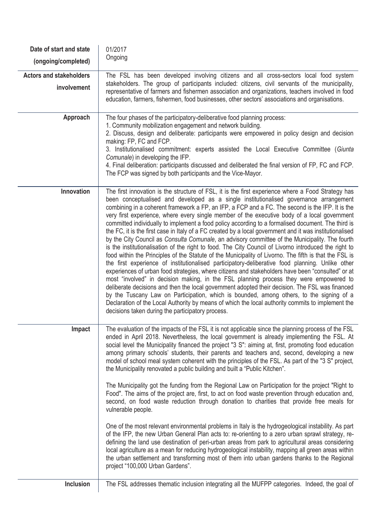| Date of start and state<br>(ongoing/completed) | 01/2017<br>Ongoing                                                                                                                                                                                                                                                                                                                                                                                                                                                                                                                                                                                                                                                                                                                                                                                                                                                                                                                                                                                                                                                                                                                                                                                                                                                                                                                                                                                                                                                                                                                                                                                   |
|------------------------------------------------|------------------------------------------------------------------------------------------------------------------------------------------------------------------------------------------------------------------------------------------------------------------------------------------------------------------------------------------------------------------------------------------------------------------------------------------------------------------------------------------------------------------------------------------------------------------------------------------------------------------------------------------------------------------------------------------------------------------------------------------------------------------------------------------------------------------------------------------------------------------------------------------------------------------------------------------------------------------------------------------------------------------------------------------------------------------------------------------------------------------------------------------------------------------------------------------------------------------------------------------------------------------------------------------------------------------------------------------------------------------------------------------------------------------------------------------------------------------------------------------------------------------------------------------------------------------------------------------------------|
| <b>Actors and stakeholders</b><br>involvement  | The FSL has been developed involving citizens and all cross-sectors local food system<br>stakeholders. The group of participants included: citizens, civil servants of the municipality,<br>representative of farmers and fishermen association and organizations, teachers involved in food<br>education, farmers, fishermen, food businesses, other sectors' associations and organisations.                                                                                                                                                                                                                                                                                                                                                                                                                                                                                                                                                                                                                                                                                                                                                                                                                                                                                                                                                                                                                                                                                                                                                                                                       |
| Approach                                       | The four phases of the participatory-deliberative food planning process:<br>1. Community mobilization engagement and network building.<br>2. Discuss, design and deliberate: participants were empowered in policy design and decision<br>making: FP, FC and FCP.<br>3. Institutionalised commitment: experts assisted the Local Executive Committee (Giunta<br>Comunale) in developing the IFP.<br>4. Final deliberation: participants discussed and deliberated the final version of FP, FC and FCP.<br>The FCP was signed by both participants and the Vice-Mayor.                                                                                                                                                                                                                                                                                                                                                                                                                                                                                                                                                                                                                                                                                                                                                                                                                                                                                                                                                                                                                                |
| Innovation                                     | The first innovation is the structure of FSL, it is the first experience where a Food Strategy has<br>been conceptualised and developed as a single institutionalised governance arrangement<br>combining in a coherent framework a FP, an IFP, a FCP and a FC. The second is the IFP. It is the<br>very first experience, where every single member of the executive body of a local government<br>committed individually to implement a food policy according to a formalised document. The third is<br>the FC, it is the first case in Italy of a FC created by a local government and it was institutionalised<br>by the City Council as Consulta Comunale, an advisory committee of the Municipality. The fourth<br>is the institutionalisation of the right to food. The City Council of Livorno introduced the right to<br>food within the Principles of the Statute of the Municipality of Livorno. The fifth is that the FSL is<br>the first experience of institutionalised participatory-deliberative food planning. Unlike other<br>experiences of urban food strategies, where citizens and stakeholders have been "consulted" or at<br>most "involved" in decision making, in the FSL planning process they were empowered to<br>deliberate decisions and then the local government adopted their decision. The FSL was financed<br>by the Tuscany Law on Participation, which is bounded, among others, to the signing of a<br>Declaration of the Local Authority by means of which the local authority commits to implement the<br>decisions taken during the participatory process. |
| Impact                                         | The evaluation of the impacts of the FSL it is not applicable since the planning process of the FSL<br>ended in April 2018. Nevertheless, the local government is already implementing the FSL. At<br>social level the Municipality financed the project "3 S": aiming at, first, promoting food education<br>among primary schools' students, their parents and teachers and, second, developing a new<br>model of school meal system coherent with the principles of the FSL. As part of the "3 S" project,<br>the Municipality renovated a public building and built a "Public Kitchen".<br>The Municipality got the funding from the Regional Law on Participation for the project "Right to<br>Food". The aims of the project are, first, to act on food waste prevention through education and,<br>second, on food waste reduction through donation to charities that provide free meals for<br>vulnerable people.<br>One of the most relevant environmental problems in Italy is the hydrogeological instability. As part<br>of the IFP, the new Urban General Plan acts to: re-orienting to a zero urban sprawl strategy, re-<br>defining the land use destination of peri-urban areas from park to agricultural areas considering<br>local agriculture as a mean for reducing hydrogeological instability, mapping all green areas within<br>the urban settlement and transforming most of them into urban gardens thanks to the Regional<br>project "100,000 Urban Gardens".                                                                                                               |
| Inclusion                                      | The FSL addresses thematic inclusion integrating all the MUFPP categories. Indeed, the goal of                                                                                                                                                                                                                                                                                                                                                                                                                                                                                                                                                                                                                                                                                                                                                                                                                                                                                                                                                                                                                                                                                                                                                                                                                                                                                                                                                                                                                                                                                                       |